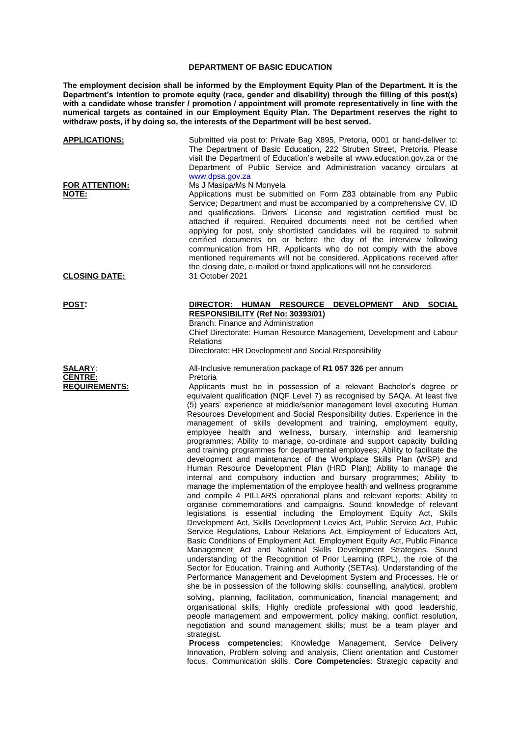## **DEPARTMENT OF BASIC EDUCATION**

**The employment decision shall be informed by the Employment Equity Plan of the Department. It is the Department's intention to promote equity (race, gender and disability) through the filling of this post(s)**  with a candidate whose transfer / promotion / appointment will promote representatively in line with the **numerical targets as contained in our Employment Equity Plan. The Department reserves the right to withdraw posts, if by doing so, the interests of the Department will be best served.**

| <u>APPLICATIONS:</u>                                          | Submitted via post to: Private Bag X895, Pretoria, 0001 or hand-deliver to:<br>The Department of Basic Education, 222 Struben Street, Pretoria. Please<br>visit the Department of Education's website at www.education.gov.za or the<br>Department of Public Service and Administration vacancy circulars at<br>www.dpsa.gov.za                                                                                                                                                                                                                                                                                                                                                                                                                                                                                                                                                                                                                                                                                                                                                                                                                                                                                                                                                                                                                                                                                                                                                                                                                                                                                                                                                                  |
|---------------------------------------------------------------|--------------------------------------------------------------------------------------------------------------------------------------------------------------------------------------------------------------------------------------------------------------------------------------------------------------------------------------------------------------------------------------------------------------------------------------------------------------------------------------------------------------------------------------------------------------------------------------------------------------------------------------------------------------------------------------------------------------------------------------------------------------------------------------------------------------------------------------------------------------------------------------------------------------------------------------------------------------------------------------------------------------------------------------------------------------------------------------------------------------------------------------------------------------------------------------------------------------------------------------------------------------------------------------------------------------------------------------------------------------------------------------------------------------------------------------------------------------------------------------------------------------------------------------------------------------------------------------------------------------------------------------------------------------------------------------------------|
| <u>FOR ATTENTION:</u><br><b>NOTE:</b><br><u>CLOSING DATE:</u> | Ms J Masipa/Ms N Monyela<br>Applications must be submitted on Form Z83 obtainable from any Public<br>Service; Department and must be accompanied by a comprehensive CV, ID<br>and qualifications. Drivers' License and registration certified must be<br>attached if required. Required documents need not be certified when<br>applying for post, only shortlisted candidates will be required to submit<br>certified documents on or before the day of the interview following<br>communication from HR. Applicants who do not comply with the above<br>mentioned requirements will not be considered. Applications received after<br>the closing date, e-mailed or faxed applications will not be considered.<br>31 October 2021                                                                                                                                                                                                                                                                                                                                                                                                                                                                                                                                                                                                                                                                                                                                                                                                                                                                                                                                                              |
| POST:                                                         | DIRECTOR: HUMAN RESOURCE DEVELOPMENT AND SOCIAL                                                                                                                                                                                                                                                                                                                                                                                                                                                                                                                                                                                                                                                                                                                                                                                                                                                                                                                                                                                                                                                                                                                                                                                                                                                                                                                                                                                                                                                                                                                                                                                                                                                  |
|                                                               | <b>RESPONSIBILITY (Ref No: 30393/01)</b>                                                                                                                                                                                                                                                                                                                                                                                                                                                                                                                                                                                                                                                                                                                                                                                                                                                                                                                                                                                                                                                                                                                                                                                                                                                                                                                                                                                                                                                                                                                                                                                                                                                         |
|                                                               | Branch: Finance and Administration<br>Chief Directorate: Human Resource Management, Development and Labour                                                                                                                                                                                                                                                                                                                                                                                                                                                                                                                                                                                                                                                                                                                                                                                                                                                                                                                                                                                                                                                                                                                                                                                                                                                                                                                                                                                                                                                                                                                                                                                       |
|                                                               | Relations<br>Directorate: HR Development and Social Responsibility                                                                                                                                                                                                                                                                                                                                                                                                                                                                                                                                                                                                                                                                                                                                                                                                                                                                                                                                                                                                                                                                                                                                                                                                                                                                                                                                                                                                                                                                                                                                                                                                                               |
| <b>SALARY:</b>                                                | All-Inclusive remuneration package of R1 057 326 per annum                                                                                                                                                                                                                                                                                                                                                                                                                                                                                                                                                                                                                                                                                                                                                                                                                                                                                                                                                                                                                                                                                                                                                                                                                                                                                                                                                                                                                                                                                                                                                                                                                                       |
| <b>CENTRE:</b><br><b>REQUIREMENTS:</b>                        | Pretoria<br>Applicants must be in possession of a relevant Bachelor's degree or                                                                                                                                                                                                                                                                                                                                                                                                                                                                                                                                                                                                                                                                                                                                                                                                                                                                                                                                                                                                                                                                                                                                                                                                                                                                                                                                                                                                                                                                                                                                                                                                                  |
|                                                               | equivalent qualification (NQF Level 7) as recognised by SAQA. At least five<br>(5) years' experience at middle/senior management level executing Human<br>Resources Development and Social Responsibility duties. Experience in the<br>management of skills development and training, employment equity,<br>employee health and wellness, bursary, internship and learnership<br>programmes; Ability to manage, co-ordinate and support capacity building<br>and training programmes for departmental employees; Ability to facilitate the<br>development and maintenance of the Workplace Skills Plan (WSP) and<br>Human Resource Development Plan (HRD Plan); Ability to manage the<br>internal and compulsory induction and bursary programmes; Ability to<br>manage the implementation of the employee health and wellness programme<br>and compile 4 PILLARS operational plans and relevant reports; Ability to<br>organise commemorations and campaigns. Sound knowledge of relevant<br>legislations is essential including the Employment Equity Act, Skills<br>Development Act, Skills Development Levies Act, Public Service Act, Public<br>Service Regulations, Labour Relations Act, Employment of Educators Act,<br>Basic Conditions of Employment Act, Employment Equity Act, Public Finance<br>Management Act and National Skills Development Strategies. Sound<br>understanding of the Recognition of Prior Learning (RPL), the role of the<br>Sector for Education, Training and Authority (SETAs). Understanding of the<br>Performance Management and Development System and Processes. He or<br>she be in possession of the following skills: counselling, analytical, problem |
|                                                               | solving, planning, facilitation, communication, financial management; and<br>organisational skills; Highly credible professional with good leadership,                                                                                                                                                                                                                                                                                                                                                                                                                                                                                                                                                                                                                                                                                                                                                                                                                                                                                                                                                                                                                                                                                                                                                                                                                                                                                                                                                                                                                                                                                                                                           |
|                                                               | people management and empowerment, policy making, conflict resolution,<br>negotiation and sound management skills; must be a team player and<br>strategist.                                                                                                                                                                                                                                                                                                                                                                                                                                                                                                                                                                                                                                                                                                                                                                                                                                                                                                                                                                                                                                                                                                                                                                                                                                                                                                                                                                                                                                                                                                                                      |
|                                                               | Process competencies: Knowledge Management, Service Delivery<br>Innovation, Problem solving and analysis, Client orientation and Customer<br>focus, Communication skills. Core Competencies: Strategic capacity and                                                                                                                                                                                                                                                                                                                                                                                                                                                                                                                                                                                                                                                                                                                                                                                                                                                                                                                                                                                                                                                                                                                                                                                                                                                                                                                                                                                                                                                                              |